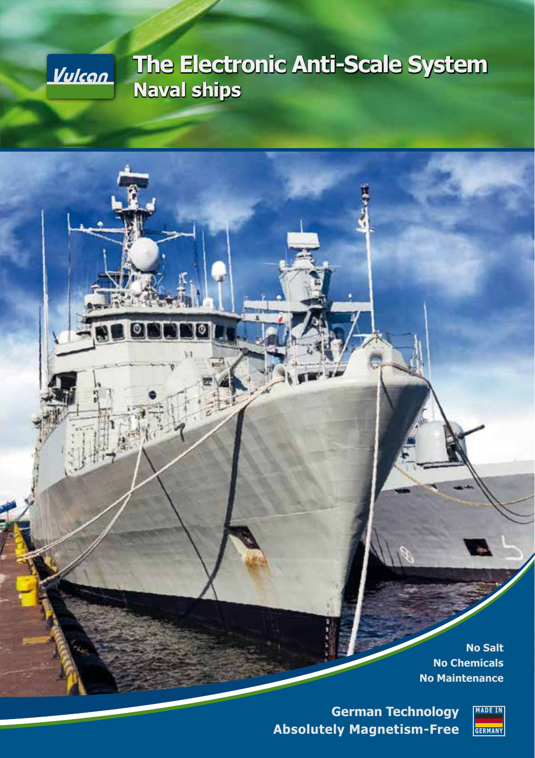

# **The Electronic Anti-Scale System Naval ships**

**No Salt No Chemicals No Maintenance**

**German Technology Absolutely Magnetism-Free**

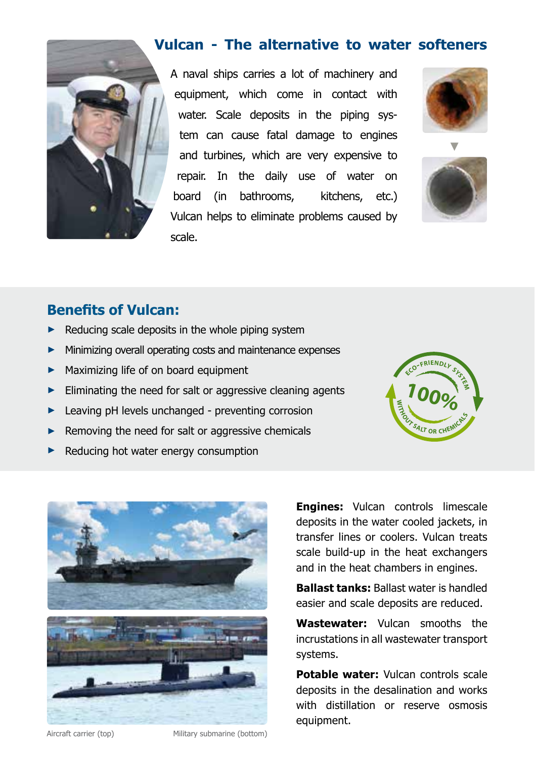

## **Vulcan - The alternative to water softeners**

A naval ships carries a lot of machinery and equipment, which come in contact with water. Scale deposits in the piping system can cause fatal damage to engines and turbines, which are very expensive to repair. In the daily use of water on board (in bathrooms, kitchens, etc.) Vulcan helps to eliminate problems caused by scale.





## **Benefits of Vulcan:**

- **►** Reducing scale deposits in the whole piping system
- Minimizing overall operating costs and maintenance expenses
- **►** Maximizing life of on board equipment
- **►** Eliminating the need for salt or aggressive cleaning agents
- **►** Leaving pH levels unchanged preventing corrosion
- **►** Removing the need for salt or aggressive chemicals
- **►** Reducing hot water energy consumption





**Engines:** Vulcan controls limescale deposits in the water cooled jackets, in transfer lines or coolers. Vulcan treats scale build-up in the heat exchangers and in the heat chambers in engines.

**Ballast tanks:** Ballast water is handled easier and scale deposits are reduced.

**Wastewater:** Vulcan smooths the incrustations in all wastewater transport systems.

**Potable water:** Vulcan controls scale deposits in the desalination and works with distillation or reserve osmosis equipment.

Aircraft carrier (top) Military submarine (bottom)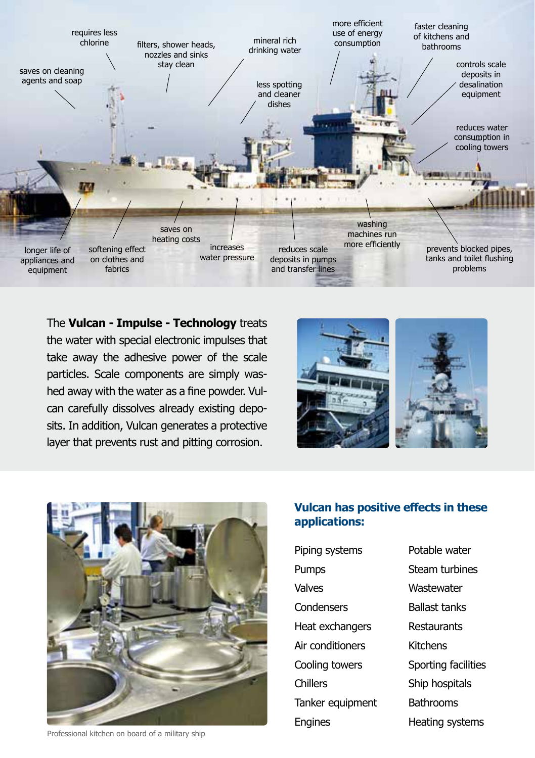

The **Vulcan - Impulse - Technology** treats the water with special electronic impulses that take away the adhesive power of the scale particles. Scale components are simply washed away with the water as a fine powder. Vulcan carefully dissolves already existing deposits. In addition, Vulcan generates a protective layer that prevents rust and pitting corrosion.





**Vulcan has positive effects in these applications:**

| Piping systems   |
|------------------|
| Pumps            |
| Valves           |
| Condensers       |
| Heat exchangers  |
| Air conditioners |
| Cooling towers   |
| Chillers         |
| Tanker equipment |
| Engines          |
|                  |

Steam turbines **Wastewater** Ballast tanks Restaurants Kitchens Sporting facilities Ship hospitals **Bathrooms** Heating systems

Potable water

Professional kitchen on board of a military ship